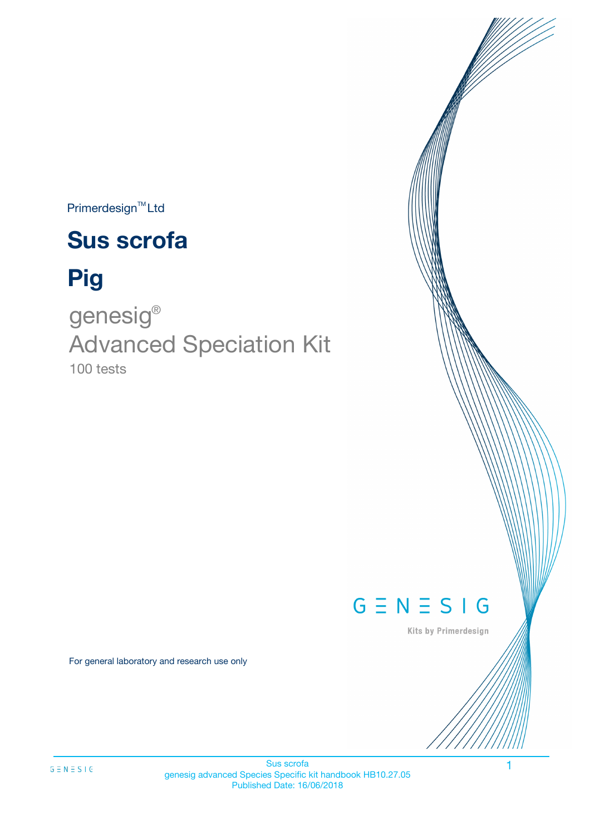Primerdesign<sup>™</sup>Ltd

# **Sus scrofa**

# **Pig**

100 tests genesig ® Advanced Speciation Kit



Kits by Primerdesign

For general laboratory and research use only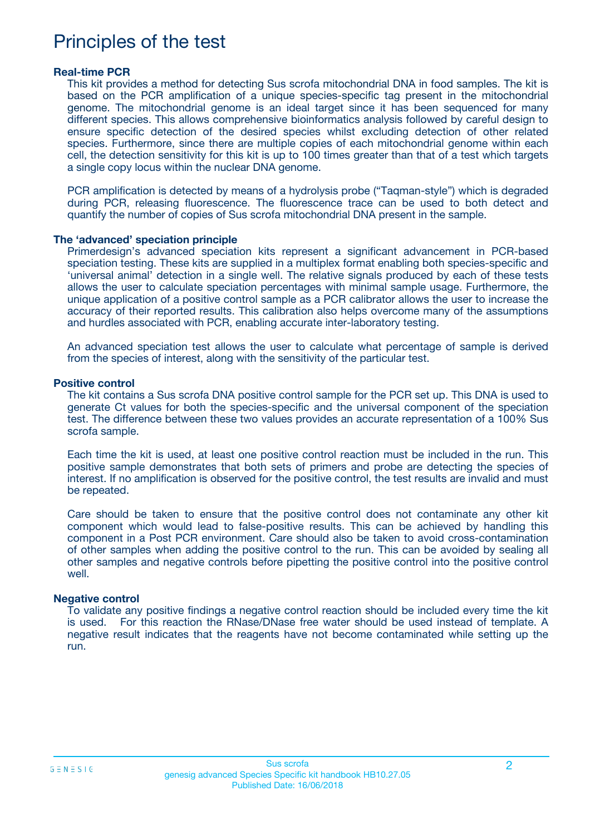## Principles of the test

#### **Real-time PCR**

This kit provides a method for detecting Sus scrofa mitochondrial DNA in food samples. The kit is based on the PCR amplification of a unique species-specific tag present in the mitochondrial genome. The mitochondrial genome is an ideal target since it has been sequenced for many different species. This allows comprehensive bioinformatics analysis followed by careful design to ensure specific detection of the desired species whilst excluding detection of other related species. Furthermore, since there are multiple copies of each mitochondrial genome within each cell, the detection sensitivity for this kit is up to 100 times greater than that of a test which targets a single copy locus within the nuclear DNA genome.

PCR amplification is detected by means of a hydrolysis probe ("Taqman-style") which is degraded during PCR, releasing fluorescence. The fluorescence trace can be used to both detect and quantify the number of copies of Sus scrofa mitochondrial DNA present in the sample.

#### **The 'advanced' speciation principle**

Primerdesign's advanced speciation kits represent a significant advancement in PCR-based speciation testing. These kits are supplied in a multiplex format enabling both species-specific and 'universal animal' detection in a single well. The relative signals produced by each of these tests allows the user to calculate speciation percentages with minimal sample usage. Furthermore, the unique application of a positive control sample as a PCR calibrator allows the user to increase the accuracy of their reported results. This calibration also helps overcome many of the assumptions and hurdles associated with PCR, enabling accurate inter-laboratory testing.

An advanced speciation test allows the user to calculate what percentage of sample is derived from the species of interest, along with the sensitivity of the particular test.

#### **Positive control**

The kit contains a Sus scrofa DNA positive control sample for the PCR set up. This DNA is used to generate Ct values for both the species-specific and the universal component of the speciation test. The difference between these two values provides an accurate representation of a 100% Sus scrofa sample.

Each time the kit is used, at least one positive control reaction must be included in the run. This positive sample demonstrates that both sets of primers and probe are detecting the species of interest. If no amplification is observed for the positive control, the test results are invalid and must be repeated.

Care should be taken to ensure that the positive control does not contaminate any other kit component which would lead to false-positive results. This can be achieved by handling this component in a Post PCR environment. Care should also be taken to avoid cross-contamination of other samples when adding the positive control to the run. This can be avoided by sealing all other samples and negative controls before pipetting the positive control into the positive control well.

#### **Negative control**

To validate any positive findings a negative control reaction should be included every time the kit is used. For this reaction the RNase/DNase free water should be used instead of template. A negative result indicates that the reagents have not become contaminated while setting up the run.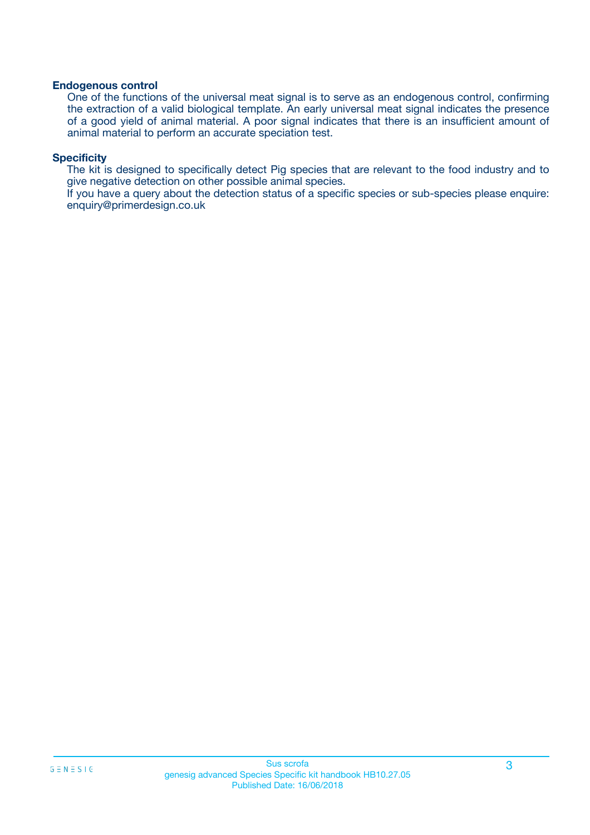#### **Endogenous control**

One of the functions of the universal meat signal is to serve as an endogenous control, confirming the extraction of a valid biological template. An early universal meat signal indicates the presence of a good yield of animal material. A poor signal indicates that there is an insufficient amount of animal material to perform an accurate speciation test.

#### **Specificity**

The kit is designed to specifically detect Pig species that are relevant to the food industry and to give negative detection on other possible animal species.

If you have a query about the detection status of a specific species or sub-species please enquire: enquiry@primerdesign.co.uk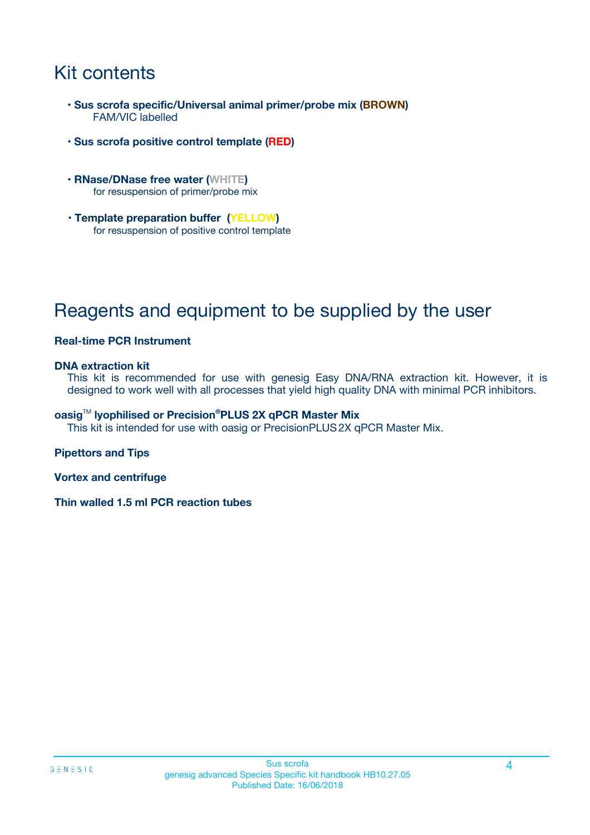## Kit contents

- **Sus scrofa specific/Universal animal primer/probe mix (BROWN)** FAM/VIC labelled
- **Sus scrofa positive control template (RED)**
- **RNase/DNase free water (WHITE)** for resuspension of primer/probe mix
- **Template preparation buffer (YELLOW)** for resuspension of positive control template

## Reagents and equipment to be supplied by the user

#### **Real-time PCR Instrument**

#### **DNA extraction kit**

This kit is recommended for use with genesig Easy DNA/RNA extraction kit. However, it is designed to work well with all processes that yield high quality DNA with minimal PCR inhibitors.

#### **oasig**TM **lyophilised or Precision®PLUS 2X qPCR Master Mix**

This kit is intended for use with oasig or PrecisionPLUS2X qPCR Master Mix.

#### **Pipettors and Tips**

**Vortex and centrifuge**

**Thin walled 1.5 ml PCR reaction tubes**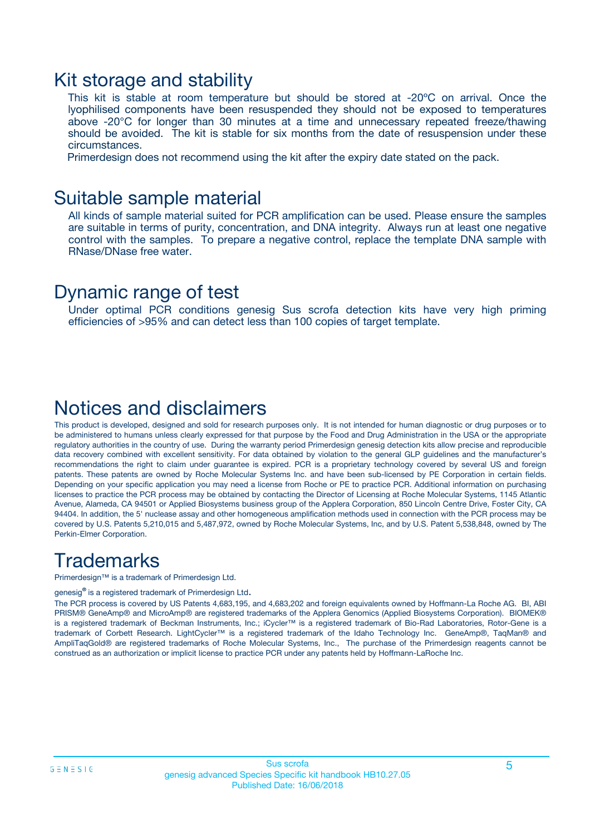### Kit storage and stability

This kit is stable at room temperature but should be stored at -20ºC on arrival. Once the lyophilised components have been resuspended they should not be exposed to temperatures above -20°C for longer than 30 minutes at a time and unnecessary repeated freeze/thawing should be avoided. The kit is stable for six months from the date of resuspension under these circumstances.

Primerdesign does not recommend using the kit after the expiry date stated on the pack.

### Suitable sample material

All kinds of sample material suited for PCR amplification can be used. Please ensure the samples are suitable in terms of purity, concentration, and DNA integrity. Always run at least one negative control with the samples. To prepare a negative control, replace the template DNA sample with RNase/DNase free water.

### Dynamic range of test

Under optimal PCR conditions genesig Sus scrofa detection kits have very high priming efficiencies of >95% and can detect less than 100 copies of target template.

### Notices and disclaimers

This product is developed, designed and sold for research purposes only. It is not intended for human diagnostic or drug purposes or to be administered to humans unless clearly expressed for that purpose by the Food and Drug Administration in the USA or the appropriate regulatory authorities in the country of use. During the warranty period Primerdesign genesig detection kits allow precise and reproducible data recovery combined with excellent sensitivity. For data obtained by violation to the general GLP guidelines and the manufacturer's recommendations the right to claim under guarantee is expired. PCR is a proprietary technology covered by several US and foreign patents. These patents are owned by Roche Molecular Systems Inc. and have been sub-licensed by PE Corporation in certain fields. Depending on your specific application you may need a license from Roche or PE to practice PCR. Additional information on purchasing licenses to practice the PCR process may be obtained by contacting the Director of Licensing at Roche Molecular Systems, 1145 Atlantic Avenue, Alameda, CA 94501 or Applied Biosystems business group of the Applera Corporation, 850 Lincoln Centre Drive, Foster City, CA 94404. In addition, the 5' nuclease assay and other homogeneous amplification methods used in connection with the PCR process may be covered by U.S. Patents 5,210,015 and 5,487,972, owned by Roche Molecular Systems, Inc, and by U.S. Patent 5,538,848, owned by The Perkin-Elmer Corporation.

## **Trademarks**

Primerdesign™ is a trademark of Primerdesign Ltd.

genesig**®** is a registered trademark of Primerdesign Ltd.

The PCR process is covered by US Patents 4,683,195, and 4,683,202 and foreign equivalents owned by Hoffmann-La Roche AG. BI, ABI PRISM® GeneAmp® and MicroAmp® are registered trademarks of the Applera Genomics (Applied Biosystems Corporation). BIOMEK® is a registered trademark of Beckman Instruments, Inc.; iCycler™ is a registered trademark of Bio-Rad Laboratories, Rotor-Gene is a trademark of Corbett Research. LightCycler™ is a registered trademark of the Idaho Technology Inc. GeneAmp®, TaqMan® and AmpliTaqGold® are registered trademarks of Roche Molecular Systems, Inc., The purchase of the Primerdesign reagents cannot be construed as an authorization or implicit license to practice PCR under any patents held by Hoffmann-LaRoche Inc.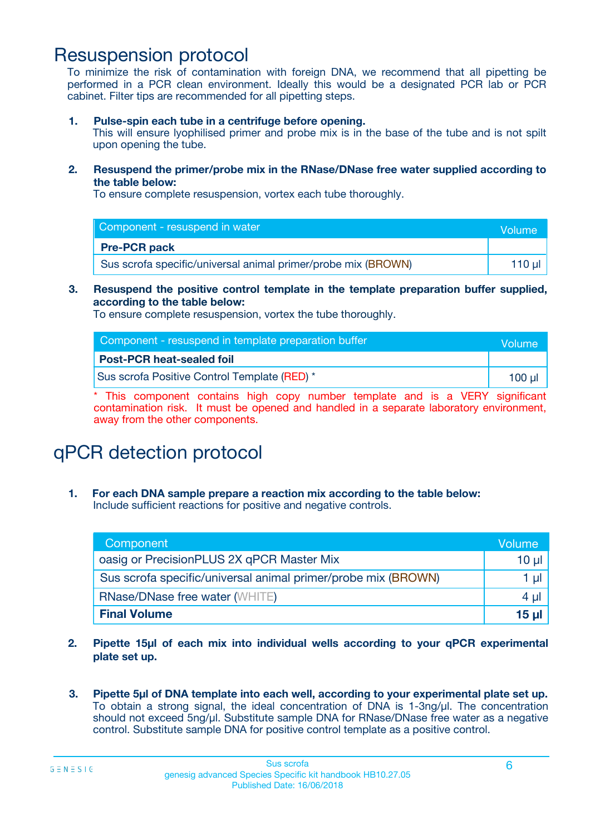### Resuspension protocol

To minimize the risk of contamination with foreign DNA, we recommend that all pipetting be performed in a PCR clean environment. Ideally this would be a designated PCR lab or PCR cabinet. Filter tips are recommended for all pipetting steps.

**1. Pulse-spin each tube in a centrifuge before opening.**

This will ensure lyophilised primer and probe mix is in the base of the tube and is not spilt upon opening the tube.

**2. Resuspend the primer/probe mix in the RNase/DNase free water supplied according to the table below:**

To ensure complete resuspension, vortex each tube thoroughly.

| Component - resuspend in water                                | Volume   |
|---------------------------------------------------------------|----------|
| <b>Pre-PCR pack</b>                                           |          |
| Sus scrofa specific/universal animal primer/probe mix (BROWN) | 110 µl 1 |

#### **3. Resuspend the positive control template in the template preparation buffer supplied, according to the table below:**

To ensure complete resuspension, vortex the tube thoroughly.

| Component - resuspend in template preparation buffer | Volume |
|------------------------------------------------------|--------|
| <b>Post-PCR heat-sealed foil</b>                     |        |
| Sus scrofa Positive Control Template (RED) *         | 100 ul |

\* This component contains high copy number template and is a VERY significant contamination risk. It must be opened and handled in a separate laboratory environment, away from the other components.

# qPCR detection protocol

**1. For each DNA sample prepare a reaction mix according to the table below:** Include sufficient reactions for positive and negative controls.

| Component                                                     | Volume   |
|---------------------------------------------------------------|----------|
| oasig or PrecisionPLUS 2X qPCR Master Mix                     | $10 \mu$ |
| Sus scrofa specific/universal animal primer/probe mix (BROWN) | 1 µl     |
| <b>RNase/DNase free water (WHITE)</b>                         | 4 µl     |
| <b>Final Volume</b>                                           | 15 ul    |

- **2. Pipette 15µl of each mix into individual wells according to your qPCR experimental plate set up.**
- **3. Pipette 5µl of DNA template into each well, according to your experimental plate set up.** To obtain a strong signal, the ideal concentration of DNA is 1-3ng/µl. The concentration should not exceed 5ng/µl. Substitute sample DNA for RNase/DNase free water as a negative control. Substitute sample DNA for positive control template as a positive control.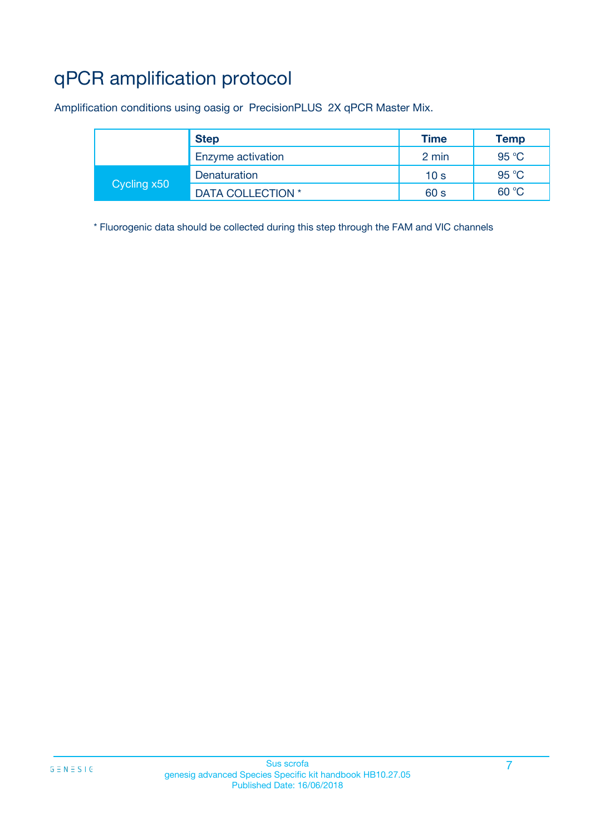# qPCR amplification protocol

Amplification conditions using oasig or PrecisionPLUS 2X qPCR Master Mix.

|             | <b>Step</b>       | <b>Time</b>     | <b>Temp</b> |
|-------------|-------------------|-----------------|-------------|
|             | Enzyme activation | 2 min           | 95 °C       |
| Cycling x50 | Denaturation      | 10 <sub>s</sub> | 95 °C       |
|             | DATA COLLECTION * | 60 s            | 60 °C       |

\* Fluorogenic data should be collected during this step through the FAM and VIC channels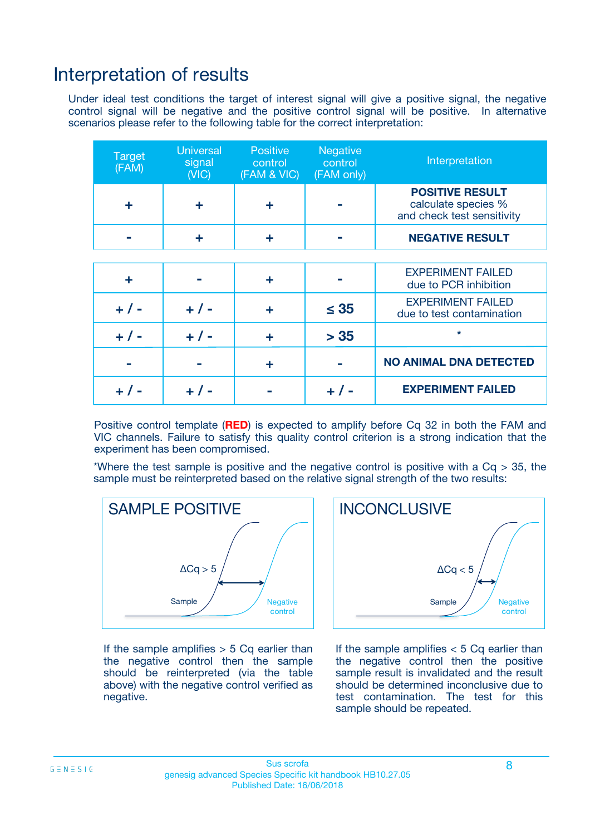### Interpretation of results

Under ideal test conditions the target of interest signal will give a positive signal, the negative control signal will be negative and the positive control signal will be positive. In alternative scenarios please refer to the following table for the correct interpretation:

| <b>Target</b><br>(FAM) | <b>Universal</b><br>signal<br>(NIC) | <b>Positive</b><br>control<br>(FAM & VIC) | <b>Negative</b><br>control<br>(FAM only) | Interpretation                                                              |
|------------------------|-------------------------------------|-------------------------------------------|------------------------------------------|-----------------------------------------------------------------------------|
| ÷                      | ÷                                   | ÷                                         |                                          | <b>POSITIVE RESULT</b><br>calculate species %<br>and check test sensitivity |
|                        |                                     | ÷                                         |                                          | <b>NEGATIVE RESULT</b>                                                      |
|                        |                                     |                                           |                                          |                                                                             |
| ÷                      |                                     | ÷                                         |                                          | <b>EXPERIMENT FAILED</b><br>due to PCR inhibition                           |
| $+$ / -                | $+ 1 -$                             | ٠                                         | $\leq$ 35                                | <b>EXPERIMENT FAILED</b><br>due to test contamination                       |
| $+ 1 -$                | $+ 1 -$                             | ÷                                         | > 35                                     | $\star$                                                                     |
|                        |                                     | ÷                                         |                                          | <b>NO ANIMAL DNA DETECTED</b>                                               |
|                        | $+/-$                               |                                           | + / -                                    | <b>EXPERIMENT FAILED</b>                                                    |

Positive control template (**RED**) is expected to amplify before Cq 32 in both the FAM and VIC channels. Failure to satisfy this quality control criterion is a strong indication that the experiment has been compromised.

\*Where the test sample is positive and the negative control is positive with a  $Cq > 35$ , the sample must be reinterpreted based on the relative signal strength of the two results:



If the sample amplifies  $> 5$  Cq earlier than the negative control then the sample should be reinterpreted (via the table above) with the negative control verified as negative.



If the sample amplifies  $< 5$  Cq earlier than the negative control then the positive sample result is invalidated and the result should be determined inconclusive due to test contamination. The test for this sample should be repeated.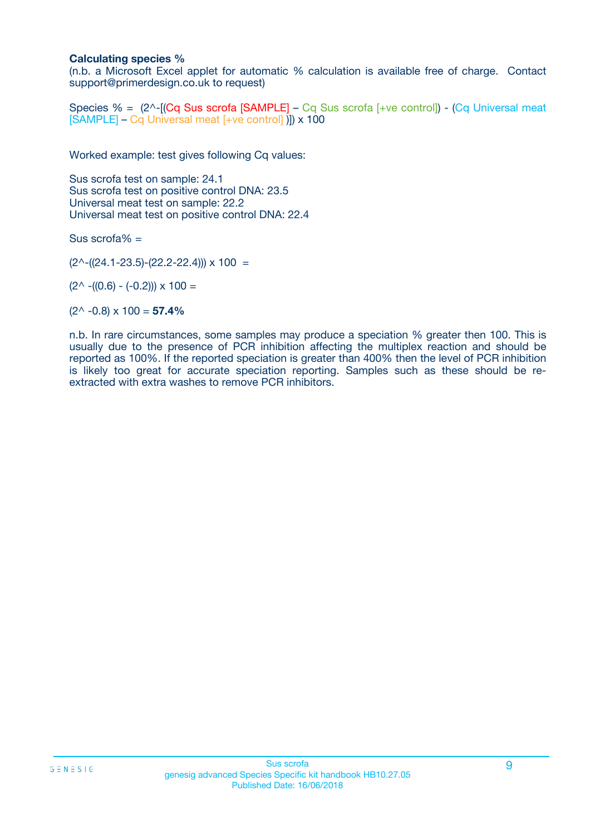#### **Calculating species %**

(n.b. a Microsoft Excel applet for automatic % calculation is available free of charge. Contact support@primerdesign.co.uk to request)

Species % = (2^-[(Cq Sus scrofa [SAMPLE] – Cq Sus scrofa [+ve control]) - (Cq Universal meat [SAMPLE] – Cq Universal meat [+ve control] )]) x 100

Worked example: test gives following Cq values:

Sus scrofa test on sample: 24.1 Sus scrofa test on positive control DNA: 23.5 Universal meat test on sample: 22.2 Universal meat test on positive control DNA: 22.4

Sus scrofa% =

 $(2^{\wedge}-(24.1-23.5)-(22.2-22.4))) \times 100 =$ 

 $(2^{\wedge}$  -((0.6) - (-0.2)))  $\times$  100 =

 $(2^{\wedge}$  -0.8)  $\times$  100 = **57.4%** 

n.b. In rare circumstances, some samples may produce a speciation % greater then 100. This is usually due to the presence of PCR inhibition affecting the multiplex reaction and should be reported as 100%. If the reported speciation is greater than 400% then the level of PCR inhibition is likely too great for accurate speciation reporting. Samples such as these should be reextracted with extra washes to remove PCR inhibitors.